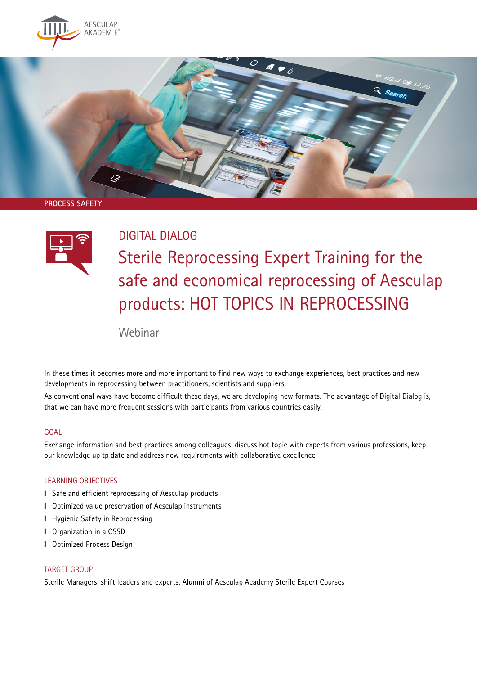

**PROCESS SAFETY**



## DIGITAL DIALOG

Sterile Reprocessing Expert Training for the safe and economical reprocessing of Aesculap products: HOT TOPICS IN REPROCESSING

Q Search

Webinar

In these times it becomes more and more important to find new ways to exchange experiences, best practices and new developments in reprocessing between practitioners, scientists and suppliers.

As conventional ways have become difficult these days, we are developing new formats. The advantage of Digital Dialog is, that we can have more frequent sessions with participants from various countries easily.

#### **GOAL**

Exchange information and best practices among colleagues, discuss hot topic with experts from various professions, keep our knowledge up tp date and address new requirements with collaborative excellence

### LEARNING OBJECTIVES

- Safe and efficient reprocessing of Aesculap products
- Optimized value preservation of Aesculap instruments
- **I** Hygienic Safety in Reprocessing
- **I** Organization in a CSSD
- **I** Optimized Process Design

#### TARGET GROUP

Sterile Managers, shift leaders and experts, Alumni of Aesculap Academy Sterile Expert Courses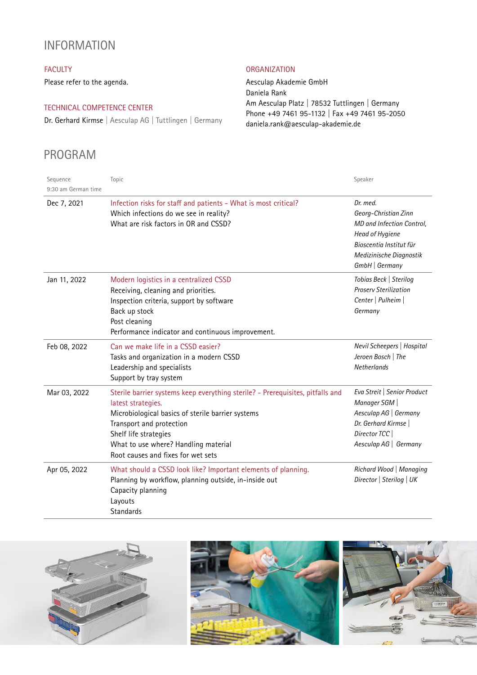## INFORMATION

## FACULTY

Please refer to the agenda.

## TECHNICAL COMPETENCE CENTER

Dr. Gerhard Kirmse | Aesculap AG | Tuttlingen | Germany

# PROGRAM

### **ORGANIZATION**

Aesculap Akademie GmbH Daniela Rank Am Aesculap Platz | 78532 Tuttlingen | Germany Phone +49 7461 95-1132 | Fax +49 7461 95-2050 daniela.rank@aesculap-akademie.de

| Sequence<br>9:30 am German time | Topic                                                                                                                                                                                                                                                                                        | Speaker                                                                                                                                                  |
|---------------------------------|----------------------------------------------------------------------------------------------------------------------------------------------------------------------------------------------------------------------------------------------------------------------------------------------|----------------------------------------------------------------------------------------------------------------------------------------------------------|
| Dec 7, 2021                     | Infection risks for staff and patients - What is most critical?<br>Which infections do we see in reality?<br>What are risk factors in OR and CSSD?                                                                                                                                           | Dr. med.<br>Georg-Christian Zinn<br>MD and Infection Control,<br>Head of Hygiene<br>Bioscentia Institut für<br>Medizinische Diagnostik<br>GmbH   Germany |
| Jan 11, 2022                    | Modern logistics in a centralized CSSD<br>Receiving, cleaning and priorities.<br>Inspection criteria, support by software<br>Back up stock<br>Post cleaning<br>Performance indicator and continuous improvement.                                                                             | Tobias Beck   Sterilog<br><b>Proserv Sterilization</b><br>Center   Pulheim  <br>Germany                                                                  |
| Feb 08, 2022                    | Can we make life in a CSSD easier?<br>Tasks and organization in a modern CSSD<br>Leadership and specialists<br>Support by tray system                                                                                                                                                        | Nevil Scheepers   Hospital<br>Jeroen Bosch   The<br>Netherlands                                                                                          |
| Mar 03, 2022                    | Sterile barrier systems keep everything sterile? - Prerequisites, pitfalls and<br>latest strategies.<br>Microbiological basics of sterile barrier systems<br>Transport and protection<br>Shelf life strategies<br>What to use where? Handling material<br>Root causes and fixes for wet sets | Eva Streit   Senior Product<br>Manager SGM<br>Aesculap AG   Germany<br>Dr. Gerhard Kirmse<br>Director TCC<br>Aesculap AG   Germany                       |
| Apr 05, 2022                    | What should a CSSD look like? Important elements of planning.<br>Planning by workflow, planning outside, in-inside out<br>Capacity planning<br>Layouts<br><b>Standards</b>                                                                                                                   | Richard Wood   Managing<br>Director   Sterilog   UK                                                                                                      |